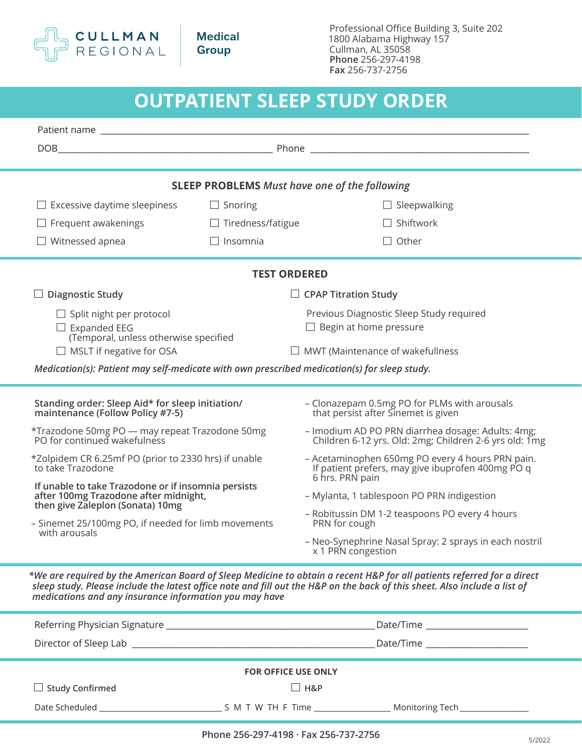

**Medical** Group

Professional Office Building 3, Suite 202 1800 Alabama Highway 157 Cullman, AL 35058 **Phone** 256-297-4198 **Fax** 256-737-2756

| <b>OUTPATIENT SLEEP STUDY ORDER</b>                                                                                                                                                                      |                            |                                                                                                                                                                                                                                                     |  |  |
|----------------------------------------------------------------------------------------------------------------------------------------------------------------------------------------------------------|----------------------------|-----------------------------------------------------------------------------------------------------------------------------------------------------------------------------------------------------------------------------------------------------|--|--|
|                                                                                                                                                                                                          |                            |                                                                                                                                                                                                                                                     |  |  |
|                                                                                                                                                                                                          |                            |                                                                                                                                                                                                                                                     |  |  |
|                                                                                                                                                                                                          |                            |                                                                                                                                                                                                                                                     |  |  |
|                                                                                                                                                                                                          |                            | <b>SLEEP PROBLEMS</b> Must have one of the following                                                                                                                                                                                                |  |  |
| $\Box$ Excessive daytime sleepiness                                                                                                                                                                      | $\Box$ Snoring             | $\Box$ Sleepwalking                                                                                                                                                                                                                                 |  |  |
| $\Box$ Frequent awakenings                                                                                                                                                                               | $\Box$ Tiredness/fatigue   | $\Box$ Shiftwork                                                                                                                                                                                                                                    |  |  |
| $\Box$ Witnessed apnea                                                                                                                                                                                   | $\Box$ Insomnia            | $\Box$ Other                                                                                                                                                                                                                                        |  |  |
|                                                                                                                                                                                                          | <b>TEST ORDERED</b>        |                                                                                                                                                                                                                                                     |  |  |
| $\Box$ Diagnostic Study                                                                                                                                                                                  |                            | $\Box$ CPAP Titration Study                                                                                                                                                                                                                         |  |  |
| $\Box$ Split night per protocol<br>$\Box$ Expanded EEG<br>(Temporal, unless otherwise specified                                                                                                          |                            | Previous Diagnostic Sleep Study required                                                                                                                                                                                                            |  |  |
|                                                                                                                                                                                                          |                            | $\Box$ Begin at home pressure                                                                                                                                                                                                                       |  |  |
| $\Box$ MSLT if negative for OSA                                                                                                                                                                          |                            | $\Box$ MWT (Maintenance of wakefullness                                                                                                                                                                                                             |  |  |
| Medication(s): Patient may self-medicate with own prescribed medication(s) for sleep study.                                                                                                              |                            |                                                                                                                                                                                                                                                     |  |  |
|                                                                                                                                                                                                          |                            |                                                                                                                                                                                                                                                     |  |  |
| Standing order: Sleep Aid* for sleep initiation/<br>maintenance (Follow Policy #7-5)                                                                                                                     |                            | - Clonazepam 0.5mg PO for PLMs with arousals<br>that persist after Sinemet is given                                                                                                                                                                 |  |  |
| *Trazodone 50mg PO — may repeat Trazodone 50mg<br>PO for continued wakefulness                                                                                                                           |                            | - Imodium AD PO PRN diarrhea dosage: Adults: 4mg;<br>Children 6-12 yrs. Old: 2mg; Children 2-6 yrs old: 1mg                                                                                                                                         |  |  |
| *Zolpidem CR 6.25mf PO (prior to 2330 hrs) if unable<br>to take Trazodone                                                                                                                                |                            | - Acetaminophen 650mg PO every 4 hours PRN pain.<br>If patient prefers, may give ibuprofen 400mg PO q<br>6 hrs. PRN pain                                                                                                                            |  |  |
| If unable to take Trazodone or if insomnia persists<br>after 100mg Trazodone after midnight,<br>then give Zaleplon (Sonata) 10mg<br>- Sinemet 25/100mg PO, if needed for limb movements<br>with arousals |                            | - Mylanta, 1 tablespoon PO PRN indigestion                                                                                                                                                                                                          |  |  |
|                                                                                                                                                                                                          |                            | - Robitussin DM 1-2 teaspoons PO every 4 hours                                                                                                                                                                                                      |  |  |
|                                                                                                                                                                                                          |                            | PRN for cough                                                                                                                                                                                                                                       |  |  |
|                                                                                                                                                                                                          |                            | - Neo-Synephrine Nasal Spray: 2 sprays in each nostril<br>x 1 PRN congestion                                                                                                                                                                        |  |  |
| medications and any insurance information you may have                                                                                                                                                   |                            | *We are required by the American Board of Sleep Medicine to obtain a recent H&P for all patients referred for a direct<br>sleep study. Please include the latest office note and fill out the H&P on the back of this sheet. Also include a list of |  |  |
|                                                                                                                                                                                                          |                            |                                                                                                                                                                                                                                                     |  |  |
|                                                                                                                                                                                                          |                            |                                                                                                                                                                                                                                                     |  |  |
|                                                                                                                                                                                                          | <b>FOR OFFICE USE ONLY</b> |                                                                                                                                                                                                                                                     |  |  |
| $\Box$ Study Confirmed                                                                                                                                                                                   |                            | $\Box$ H&P                                                                                                                                                                                                                                          |  |  |

Date Scheduled \_\_\_\_\_\_\_\_\_\_\_\_\_\_\_\_\_\_\_\_\_\_\_\_\_\_\_\_\_\_\_\_ S M T W TH F Time \_\_\_\_\_\_\_\_\_\_\_\_\_\_\_\_\_\_\_\_ Monitoring Tech\_\_\_\_\_\_\_\_\_\_\_\_\_\_\_\_\_\_